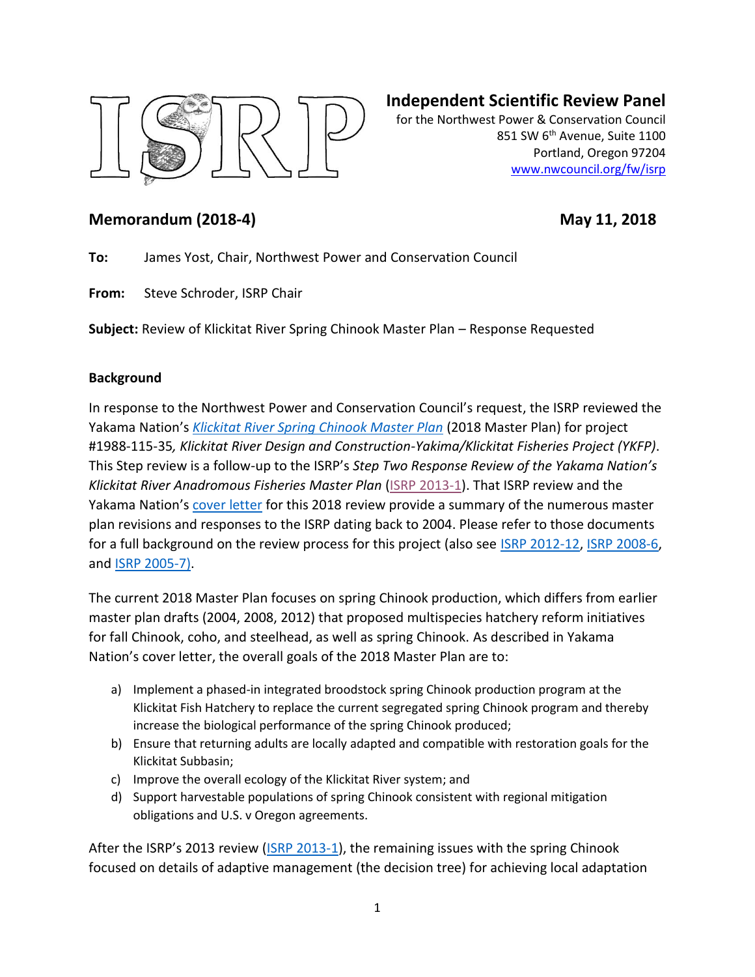

# **Independent Scientific Review Panel**

for the Northwest Power & Conservation Council 851 SW 6<sup>th</sup> Avenue, Suite 1100 Portland, Oregon 97204 [www.nwcouncil.org/fw/isrp](http://www.nwcouncil.org/fw/isrp)

# **Memorandum (2018-4)** May 11, 2018

**To:** James Yost, Chair, Northwest Power and Conservation Council

**From:** Steve Schroder, ISRP Chair

**Subject:** Review of Klickitat River Spring Chinook Master Plan – Response Requested

### **Background**

In response to the Northwest Power and Conservation Council's request, the ISRP reviewed the Yakama Nation's *[Klickitat River Spring Chinook Master Plan](https://nwcouncil.box.com/s/kwyixxemc8y9mc848bem1om98az9jldi)* (2018 Master Plan) for project #1988-115-35*, Klickitat River Design and Construction-Yakima/Klickitat Fisheries Project (YKFP)*. This Step review is a follow-up to the ISRP's *Step Two Response Review of the Yakama Nation's Klickitat River Anadromous Fisheries Master Plan* [\(ISRP 2013-1\)](https://www.nwcouncil.org/fw/isrp/isrp2013-1/). That ISRP review and the Yakama Nation's [cover letter](https://nwcouncil.box.com/s/p5a96x8ivazjxyxws6g079sc3nl16siu) for this 2018 review provide a summary of the numerous master plan revisions and responses to the ISRP dating back to 2004. Please refer to those documents for a full background on the review process for this project (also see [ISRP 2012-12,](http://www.nwcouncil.org/library/report.asp?d=698) [ISRP 2008-6,](http://www.nwcouncil.org/library/isrp/isrp2008-6.pdf) and [ISRP 2005-7\)](http://www.nwcouncil.org/library/isrp/isrp2005-7.pdf).

The current 2018 Master Plan focuses on spring Chinook production, which differs from earlier master plan drafts (2004, 2008, 2012) that proposed multispecies hatchery reform initiatives for fall Chinook, coho, and steelhead, as well as spring Chinook. As described in Yakama Nation's cover letter, the overall goals of the 2018 Master Plan are to:

- a) Implement a phased-in integrated broodstock spring Chinook production program at the Klickitat Fish Hatchery to replace the current segregated spring Chinook program and thereby increase the biological performance of the spring Chinook produced;
- b) Ensure that returning adults are locally adapted and compatible with restoration goals for the Klickitat Subbasin;
- c) Improve the overall ecology of the Klickitat River system; and
- d) Support harvestable populations of spring Chinook consistent with regional mitigation obligations and U.S. v Oregon agreements.

After the ISRP's 2013 review ([ISRP 2013-1\)](https://www.nwcouncil.org/fw/isrp/isrp2013-1/), the remaining issues with the spring Chinook focused on details of adaptive management (the decision tree) for achieving local adaptation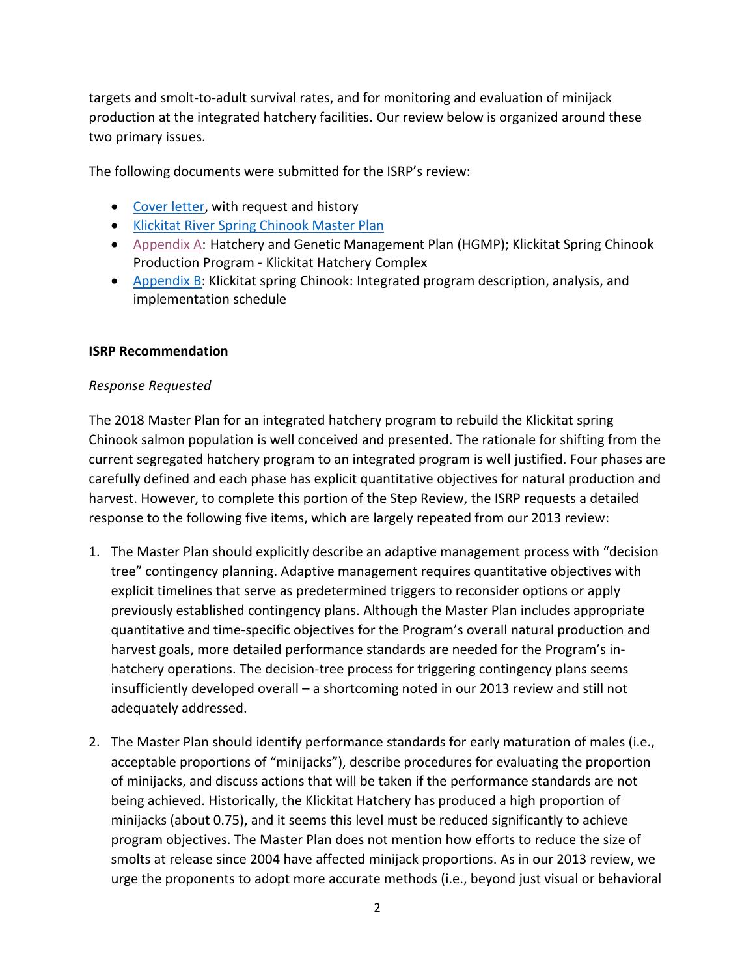targets and smolt-to-adult survival rates, and for monitoring and evaluation of minijack production at the integrated hatchery facilities. Our review below is organized around these two primary issues.

The following documents were submitted for the ISRP's review:

- [Cover letter,](https://nwcouncil.box.com/s/p5a96x8ivazjxyxws6g079sc3nl16siu) with request and history
- [Klickitat River Spring Chinook Master Plan](https://nwcouncil.box.com/s/kwyixxemc8y9mc848bem1om98az9jldi)
- [Appendix A:](https://nwcouncil.box.com/s/bp542sj2hiop3egjj35plfbovoi1yqyr) Hatchery and Genetic Management Plan (HGMP); Klickitat Spring Chinook Production Program - Klickitat Hatchery Complex
- [Appendix B:](https://nwcouncil.box.com/s/096x7fk0arpmcwtyucrt5jh4esmho7kz) Klickitat spring Chinook: Integrated program description, analysis, and implementation schedule

### **ISRP Recommendation**

### *Response Requested*

The 2018 Master Plan for an integrated hatchery program to rebuild the Klickitat spring Chinook salmon population is well conceived and presented. The rationale for shifting from the current segregated hatchery program to an integrated program is well justified. Four phases are carefully defined and each phase has explicit quantitative objectives for natural production and harvest. However, to complete this portion of the Step Review, the ISRP requests a detailed response to the following five items, which are largely repeated from our 2013 review:

- 1. The Master Plan should explicitly describe an adaptive management process with "decision tree" contingency planning. Adaptive management requires quantitative objectives with explicit timelines that serve as predetermined triggers to reconsider options or apply previously established contingency plans. Although the Master Plan includes appropriate quantitative and time-specific objectives for the Program's overall natural production and harvest goals, more detailed performance standards are needed for the Program's inhatchery operations. The decision-tree process for triggering contingency plans seems insufficiently developed overall – a shortcoming noted in our 2013 review and still not adequately addressed.
- 2. The Master Plan should identify performance standards for early maturation of males (i.e., acceptable proportions of "minijacks"), describe procedures for evaluating the proportion of minijacks, and discuss actions that will be taken if the performance standards are not being achieved. Historically, the Klickitat Hatchery has produced a high proportion of minijacks (about 0.75), and it seems this level must be reduced significantly to achieve program objectives. The Master Plan does not mention how efforts to reduce the size of smolts at release since 2004 have affected minijack proportions. As in our 2013 review, we urge the proponents to adopt more accurate methods (i.e., beyond just visual or behavioral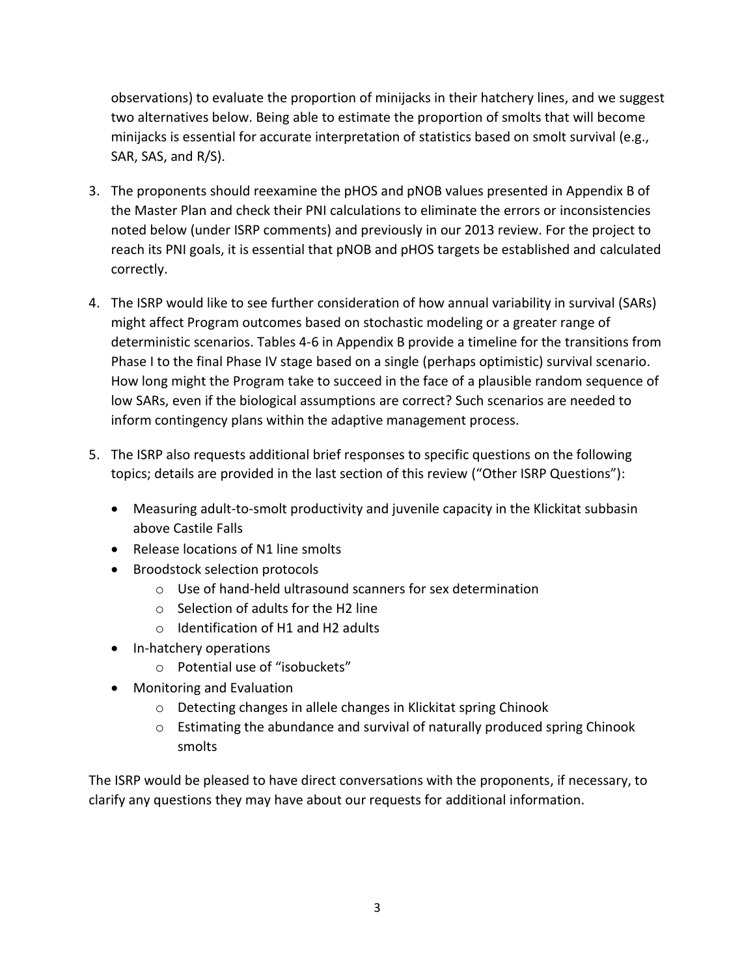observations) to evaluate the proportion of minijacks in their hatchery lines, and we suggest two alternatives below. Being able to estimate the proportion of smolts that will become minijacks is essential for accurate interpretation of statistics based on smolt survival (e.g., SAR, SAS, and R/S).

- 3. The proponents should reexamine the pHOS and pNOB values presented in Appendix B of the Master Plan and check their PNI calculations to eliminate the errors or inconsistencies noted below (under ISRP comments) and previously in our 2013 review. For the project to reach its PNI goals, it is essential that pNOB and pHOS targets be established and calculated correctly.
- 4. The ISRP would like to see further consideration of how annual variability in survival (SARs) might affect Program outcomes based on stochastic modeling or a greater range of deterministic scenarios. Tables 4-6 in Appendix B provide a timeline for the transitions from Phase I to the final Phase IV stage based on a single (perhaps optimistic) survival scenario. How long might the Program take to succeed in the face of a plausible random sequence of low SARs, even if the biological assumptions are correct? Such scenarios are needed to inform contingency plans within the adaptive management process.
- 5. The ISRP also requests additional brief responses to specific questions on the following topics; details are provided in the last section of this review ("Other ISRP Questions"):
	- Measuring adult-to-smolt productivity and juvenile capacity in the Klickitat subbasin above Castile Falls
	- Release locations of N1 line smolts
	- Broodstock selection protocols
		- o Use of hand-held ultrasound scanners for sex determination
		- o Selection of adults for the H2 line
		- o Identification of H1 and H2 adults
	- In-hatchery operations
		- o Potential use of "isobuckets"
	- Monitoring and Evaluation
		- o Detecting changes in allele changes in Klickitat spring Chinook
		- o Estimating the abundance and survival of naturally produced spring Chinook smolts

The ISRP would be pleased to have direct conversations with the proponents, if necessary, to clarify any questions they may have about our requests for additional information.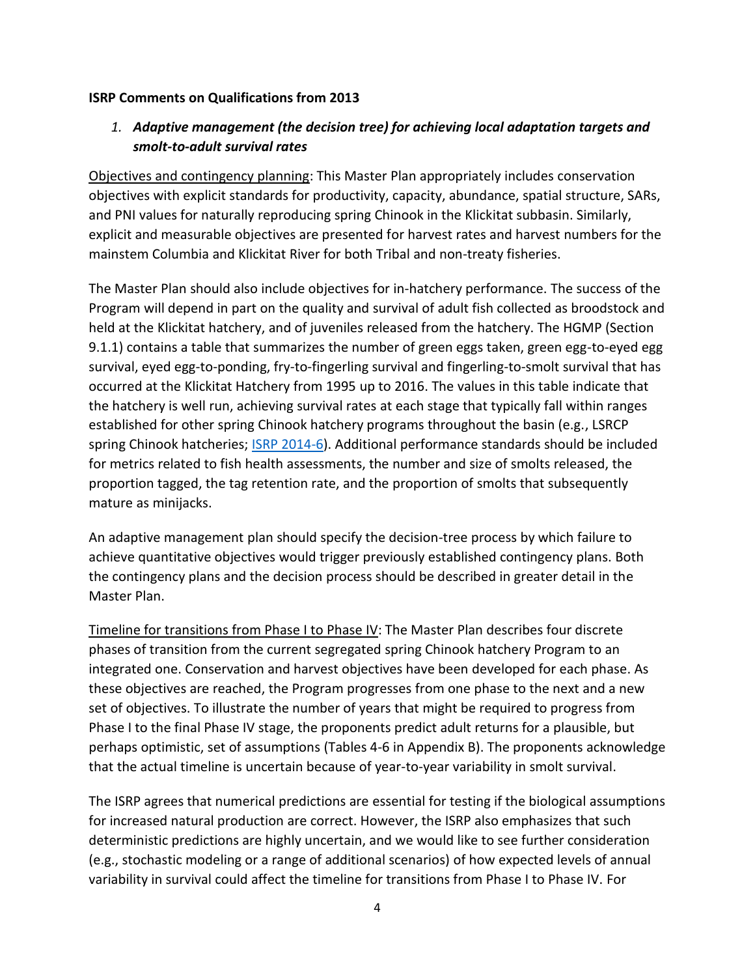### **ISRP Comments on Qualifications from 2013**

# *1. Adaptive management (the decision tree) for achieving local adaptation targets and smolt-to-adult survival rates*

Objectives and contingency planning: This Master Plan appropriately includes conservation objectives with explicit standards for productivity, capacity, abundance, spatial structure, SARs, and PNI values for naturally reproducing spring Chinook in the Klickitat subbasin. Similarly, explicit and measurable objectives are presented for harvest rates and harvest numbers for the mainstem Columbia and Klickitat River for both Tribal and non-treaty fisheries.

The Master Plan should also include objectives for in-hatchery performance. The success of the Program will depend in part on the quality and survival of adult fish collected as broodstock and held at the Klickitat hatchery, and of juveniles released from the hatchery. The HGMP (Section 9.1.1) contains a table that summarizes the number of green eggs taken, green egg-to-eyed egg survival, eyed egg-to-ponding, fry-to-fingerling survival and fingerling-to-smolt survival that has occurred at the Klickitat Hatchery from 1995 up to 2016. The values in this table indicate that the hatchery is well run, achieving survival rates at each stage that typically fall within ranges established for other spring Chinook hatchery programs throughout the basin (e.g., LSRCP spring Chinook hatcheries; **ISRP 2014-6**). Additional performance standards should be included for metrics related to fish health assessments, the number and size of smolts released, the proportion tagged, the tag retention rate, and the proportion of smolts that subsequently mature as minijacks.

An adaptive management plan should specify the decision-tree process by which failure to achieve quantitative objectives would trigger previously established contingency plans. Both the contingency plans and the decision process should be described in greater detail in the Master Plan.

Timeline for transitions from Phase I to Phase IV: The Master Plan describes four discrete phases of transition from the current segregated spring Chinook hatchery Program to an integrated one. Conservation and harvest objectives have been developed for each phase. As these objectives are reached, the Program progresses from one phase to the next and a new set of objectives. To illustrate the number of years that might be required to progress from Phase I to the final Phase IV stage, the proponents predict adult returns for a plausible, but perhaps optimistic, set of assumptions (Tables 4-6 in Appendix B). The proponents acknowledge that the actual timeline is uncertain because of year-to-year variability in smolt survival.

The ISRP agrees that numerical predictions are essential for testing if the biological assumptions for increased natural production are correct. However, the ISRP also emphasizes that such deterministic predictions are highly uncertain, and we would like to see further consideration (e.g., stochastic modeling or a range of additional scenarios) of how expected levels of annual variability in survival could affect the timeline for transitions from Phase I to Phase IV. For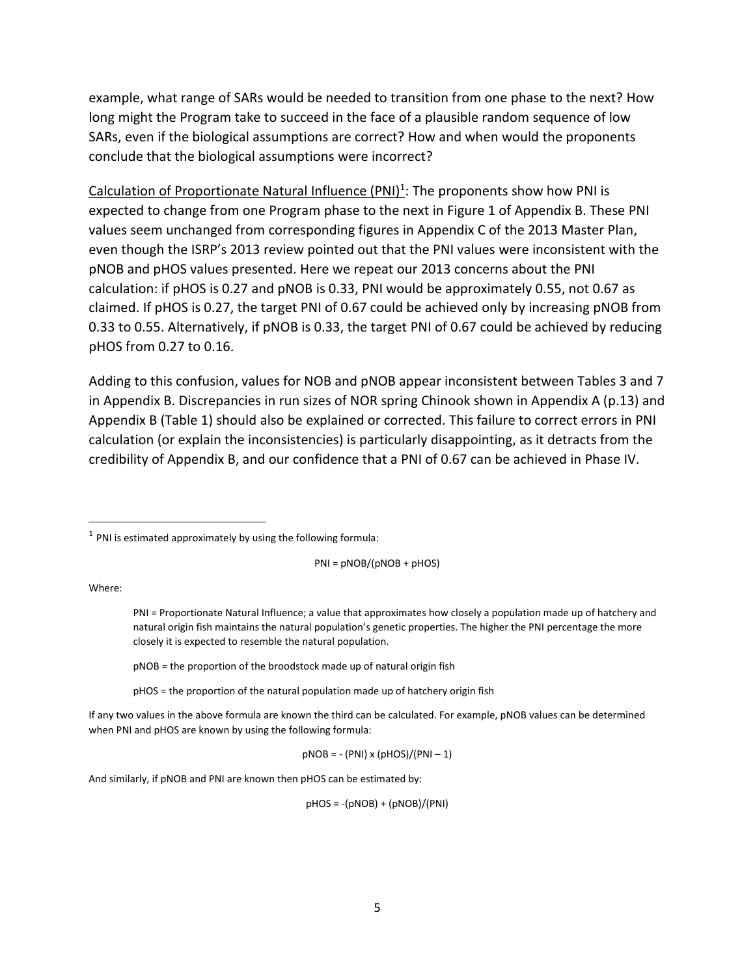example, what range of SARs would be needed to transition from one phase to the next? How long might the Program take to succeed in the face of a plausible random sequence of low SARs, even if the biological assumptions are correct? How and when would the proponents conclude that the biological assumptions were incorrect?

Calculation of Proportionate Natural Influence (PNI)<sup>1</sup>: The proponents show how PNI is expected to change from one Program phase to the next in Figure 1 of Appendix B. These PNI values seem unchanged from corresponding figures in Appendix C of the 2013 Master Plan, even though the ISRP's 2013 review pointed out that the PNI values were inconsistent with the pNOB and pHOS values presented. Here we repeat our 2013 concerns about the PNI calculation: if pHOS is 0.27 and pNOB is 0.33, PNI would be approximately 0.55, not 0.67 as claimed. If pHOS is 0.27, the target PNI of 0.67 could be achieved only by increasing pNOB from 0.33 to 0.55. Alternatively, if pNOB is 0.33, the target PNI of 0.67 could be achieved by reducing pHOS from 0.27 to 0.16.

Adding to this confusion, values for NOB and pNOB appear inconsistent between Tables 3 and 7 in Appendix B. Discrepancies in run sizes of NOR spring Chinook shown in Appendix A (p.13) and Appendix B (Table 1) should also be explained or corrected. This failure to correct errors in PNI calculation (or explain the inconsistencies) is particularly disappointing, as it detracts from the credibility of Appendix B, and our confidence that a PNI of 0.67 can be achieved in Phase IV.

PNI = pNOB/(pNOB + pHOS)

Where:

 $\overline{a}$ 

pNOB = the proportion of the broodstock made up of natural origin fish

pHOS = the proportion of the natural population made up of hatchery origin fish

If any two values in the above formula are known the third can be calculated. For example, pNOB values can be determined when PNI and pHOS are known by using the following formula:

 $pNOB = -(PNI) \times (pHOS)/(PNI-1)$ 

And similarly, if pNOB and PNI are known then pHOS can be estimated by:

pHOS = -(pNOB) + (pNOB)/(PNI)

 $<sup>1</sup>$  PNI is estimated approximately by using the following formula:</sup>

PNI = Proportionate Natural Influence; a value that approximates how closely a population made up of hatchery and natural origin fish maintains the natural population's genetic properties. The higher the PNI percentage the more closely it is expected to resemble the natural population.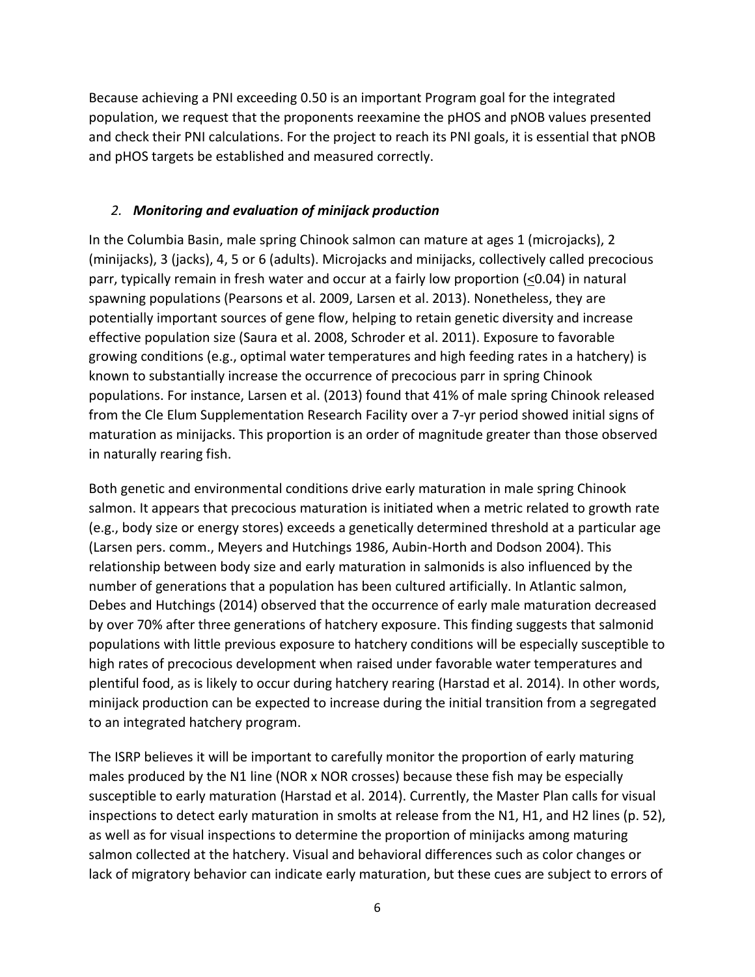Because achieving a PNI exceeding 0.50 is an important Program goal for the integrated population, we request that the proponents reexamine the pHOS and pNOB values presented and check their PNI calculations. For the project to reach its PNI goals, it is essential that pNOB and pHOS targets be established and measured correctly.

### *2. Monitoring and evaluation of minijack production*

In the Columbia Basin, male spring Chinook salmon can mature at ages 1 (microjacks), 2 (minijacks), 3 (jacks), 4, 5 or 6 (adults). Microjacks and minijacks, collectively called precocious parr, typically remain in fresh water and occur at a fairly low proportion (<0.04) in natural spawning populations (Pearsons et al. 2009, Larsen et al. 2013). Nonetheless, they are potentially important sources of gene flow, helping to retain genetic diversity and increase effective population size (Saura et al. 2008, Schroder et al. 2011). Exposure to favorable growing conditions (e.g., optimal water temperatures and high feeding rates in a hatchery) is known to substantially increase the occurrence of precocious parr in spring Chinook populations. For instance, Larsen et al. (2013) found that 41% of male spring Chinook released from the Cle Elum Supplementation Research Facility over a 7-yr period showed initial signs of maturation as minijacks. This proportion is an order of magnitude greater than those observed in naturally rearing fish.

Both genetic and environmental conditions drive early maturation in male spring Chinook salmon. It appears that precocious maturation is initiated when a metric related to growth rate (e.g., body size or energy stores) exceeds a genetically determined threshold at a particular age (Larsen pers. comm., Meyers and Hutchings 1986, Aubin-Horth and Dodson 2004). This relationship between body size and early maturation in salmonids is also influenced by the number of generations that a population has been cultured artificially. In Atlantic salmon, Debes and Hutchings (2014) observed that the occurrence of early male maturation decreased by over 70% after three generations of hatchery exposure. This finding suggests that salmonid populations with little previous exposure to hatchery conditions will be especially susceptible to high rates of precocious development when raised under favorable water temperatures and plentiful food, as is likely to occur during hatchery rearing (Harstad et al. 2014). In other words, minijack production can be expected to increase during the initial transition from a segregated to an integrated hatchery program.

The ISRP believes it will be important to carefully monitor the proportion of early maturing males produced by the N1 line (NOR x NOR crosses) because these fish may be especially susceptible to early maturation (Harstad et al. 2014). Currently, the Master Plan calls for visual inspections to detect early maturation in smolts at release from the N1, H1, and H2 lines (p. 52), as well as for visual inspections to determine the proportion of minijacks among maturing salmon collected at the hatchery. Visual and behavioral differences such as color changes or lack of migratory behavior can indicate early maturation, but these cues are subject to errors of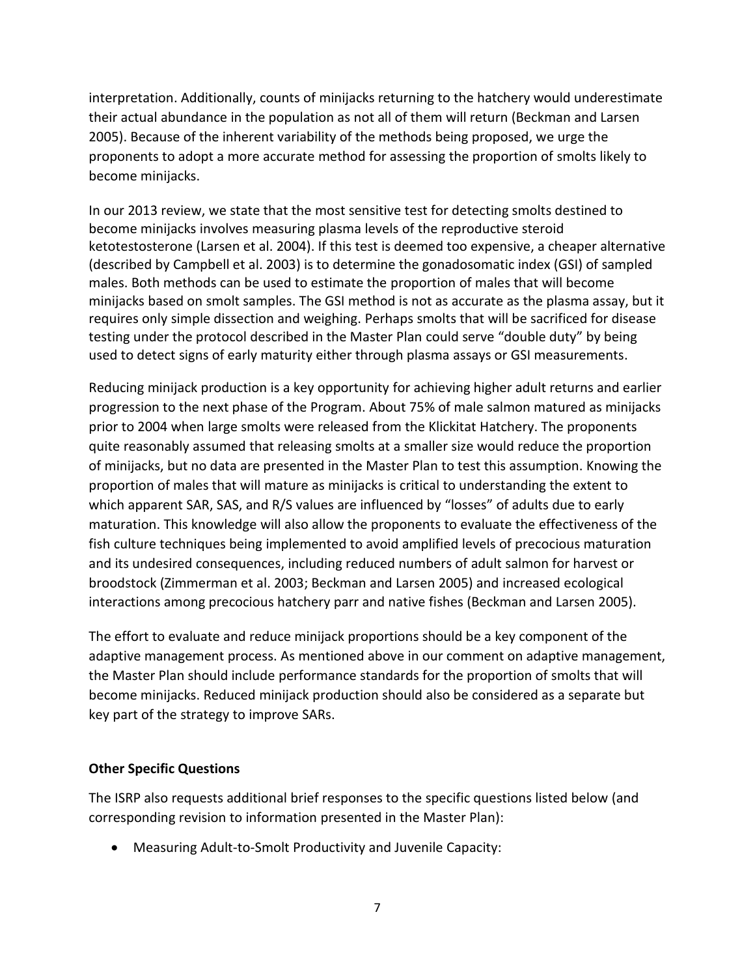interpretation. Additionally, counts of minijacks returning to the hatchery would underestimate their actual abundance in the population as not all of them will return (Beckman and Larsen 2005). Because of the inherent variability of the methods being proposed, we urge the proponents to adopt a more accurate method for assessing the proportion of smolts likely to become minijacks.

In our 2013 review, we state that the most sensitive test for detecting smolts destined to become minijacks involves measuring plasma levels of the reproductive steroid ketotestosterone (Larsen et al. 2004). If this test is deemed too expensive, a cheaper alternative (described by Campbell et al. 2003) is to determine the gonadosomatic index (GSI) of sampled males. Both methods can be used to estimate the proportion of males that will become minijacks based on smolt samples. The GSI method is not as accurate as the plasma assay, but it requires only simple dissection and weighing. Perhaps smolts that will be sacrificed for disease testing under the protocol described in the Master Plan could serve "double duty" by being used to detect signs of early maturity either through plasma assays or GSI measurements.

Reducing minijack production is a key opportunity for achieving higher adult returns and earlier progression to the next phase of the Program. About 75% of male salmon matured as minijacks prior to 2004 when large smolts were released from the Klickitat Hatchery. The proponents quite reasonably assumed that releasing smolts at a smaller size would reduce the proportion of minijacks, but no data are presented in the Master Plan to test this assumption. Knowing the proportion of males that will mature as minijacks is critical to understanding the extent to which apparent SAR, SAS, and R/S values are influenced by "losses" of adults due to early maturation. This knowledge will also allow the proponents to evaluate the effectiveness of the fish culture techniques being implemented to avoid amplified levels of precocious maturation and its undesired consequences, including reduced numbers of adult salmon for harvest or broodstock (Zimmerman et al. 2003; Beckman and Larsen 2005) and increased ecological interactions among precocious hatchery parr and native fishes (Beckman and Larsen 2005).

The effort to evaluate and reduce minijack proportions should be a key component of the adaptive management process. As mentioned above in our comment on adaptive management, the Master Plan should include performance standards for the proportion of smolts that will become minijacks. Reduced minijack production should also be considered as a separate but key part of the strategy to improve SARs.

### **Other Specific Questions**

The ISRP also requests additional brief responses to the specific questions listed below (and corresponding revision to information presented in the Master Plan):

Measuring Adult-to-Smolt Productivity and Juvenile Capacity: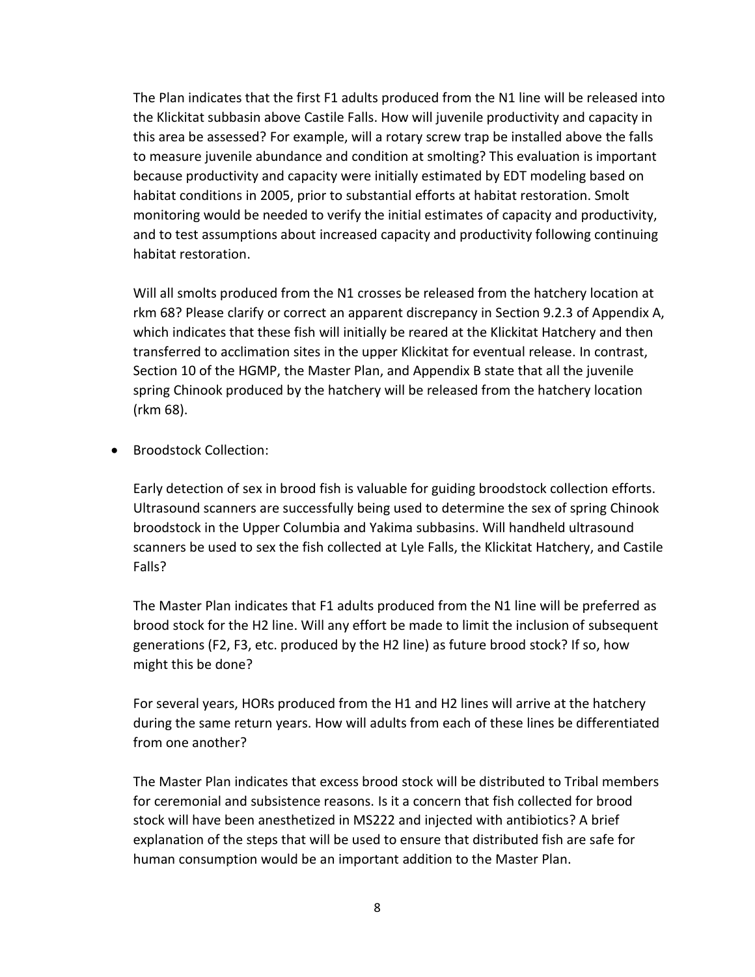The Plan indicates that the first F1 adults produced from the N1 line will be released into the Klickitat subbasin above Castile Falls. How will juvenile productivity and capacity in this area be assessed? For example, will a rotary screw trap be installed above the falls to measure juvenile abundance and condition at smolting? This evaluation is important because productivity and capacity were initially estimated by EDT modeling based on habitat conditions in 2005, prior to substantial efforts at habitat restoration. Smolt monitoring would be needed to verify the initial estimates of capacity and productivity, and to test assumptions about increased capacity and productivity following continuing habitat restoration.

Will all smolts produced from the N1 crosses be released from the hatchery location at rkm 68? Please clarify or correct an apparent discrepancy in Section 9.2.3 of Appendix A, which indicates that these fish will initially be reared at the Klickitat Hatchery and then transferred to acclimation sites in the upper Klickitat for eventual release. In contrast, Section 10 of the HGMP, the Master Plan, and Appendix B state that all the juvenile spring Chinook produced by the hatchery will be released from the hatchery location (rkm 68).

**•** Broodstock Collection:

Early detection of sex in brood fish is valuable for guiding broodstock collection efforts. Ultrasound scanners are successfully being used to determine the sex of spring Chinook broodstock in the Upper Columbia and Yakima subbasins. Will handheld ultrasound scanners be used to sex the fish collected at Lyle Falls, the Klickitat Hatchery, and Castile Falls?

The Master Plan indicates that F1 adults produced from the N1 line will be preferred as brood stock for the H2 line. Will any effort be made to limit the inclusion of subsequent generations (F2, F3, etc. produced by the H2 line) as future brood stock? If so, how might this be done?

For several years, HORs produced from the H1 and H2 lines will arrive at the hatchery during the same return years. How will adults from each of these lines be differentiated from one another?

The Master Plan indicates that excess brood stock will be distributed to Tribal members for ceremonial and subsistence reasons. Is it a concern that fish collected for brood stock will have been anesthetized in MS222 and injected with antibiotics? A brief explanation of the steps that will be used to ensure that distributed fish are safe for human consumption would be an important addition to the Master Plan.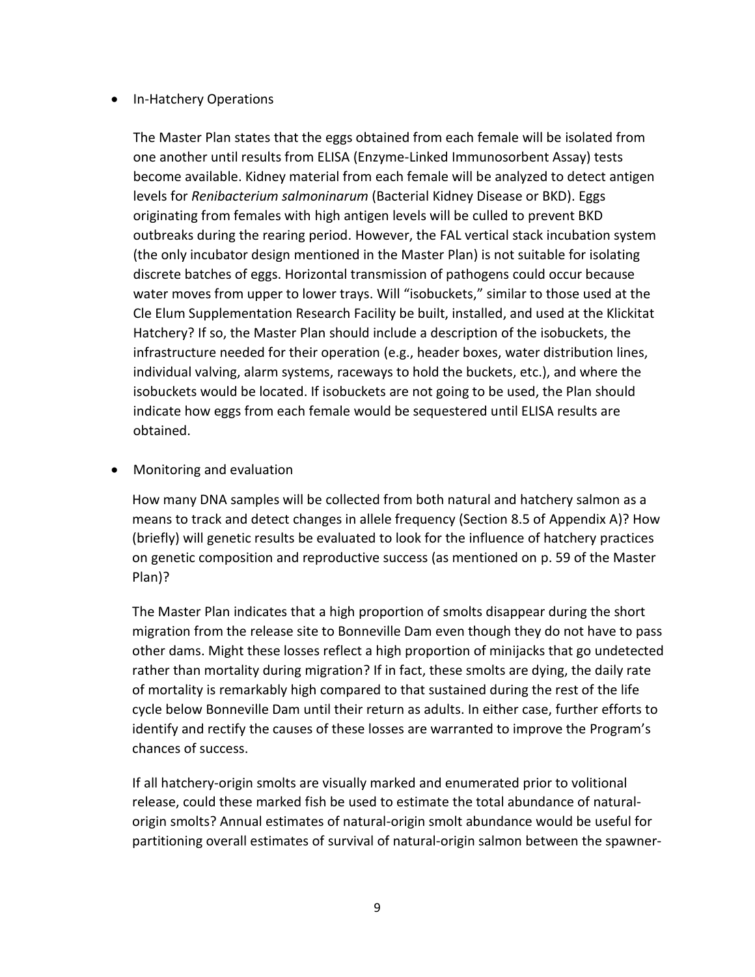### • In-Hatchery Operations

The Master Plan states that the eggs obtained from each female will be isolated from one another until results from ELISA (Enzyme-Linked Immunosorbent Assay) tests become available. Kidney material from each female will be analyzed to detect antigen levels for *Renibacterium salmoninarum* (Bacterial Kidney Disease or BKD). Eggs originating from females with high antigen levels will be culled to prevent BKD outbreaks during the rearing period. However, the FAL vertical stack incubation system (the only incubator design mentioned in the Master Plan) is not suitable for isolating discrete batches of eggs. Horizontal transmission of pathogens could occur because water moves from upper to lower trays. Will "isobuckets," similar to those used at the Cle Elum Supplementation Research Facility be built, installed, and used at the Klickitat Hatchery? If so, the Master Plan should include a description of the isobuckets, the infrastructure needed for their operation (e.g., header boxes, water distribution lines, individual valving, alarm systems, raceways to hold the buckets, etc.), and where the isobuckets would be located. If isobuckets are not going to be used, the Plan should indicate how eggs from each female would be sequestered until ELISA results are obtained.

Monitoring and evaluation

How many DNA samples will be collected from both natural and hatchery salmon as a means to track and detect changes in allele frequency (Section 8.5 of Appendix A)? How (briefly) will genetic results be evaluated to look for the influence of hatchery practices on genetic composition and reproductive success (as mentioned on p. 59 of the Master Plan)?

The Master Plan indicates that a high proportion of smolts disappear during the short migration from the release site to Bonneville Dam even though they do not have to pass other dams. Might these losses reflect a high proportion of minijacks that go undetected rather than mortality during migration? If in fact, these smolts are dying, the daily rate of mortality is remarkably high compared to that sustained during the rest of the life cycle below Bonneville Dam until their return as adults. In either case, further efforts to identify and rectify the causes of these losses are warranted to improve the Program's chances of success.

If all hatchery-origin smolts are visually marked and enumerated prior to volitional release, could these marked fish be used to estimate the total abundance of naturalorigin smolts? Annual estimates of natural-origin smolt abundance would be useful for partitioning overall estimates of survival of natural-origin salmon between the spawner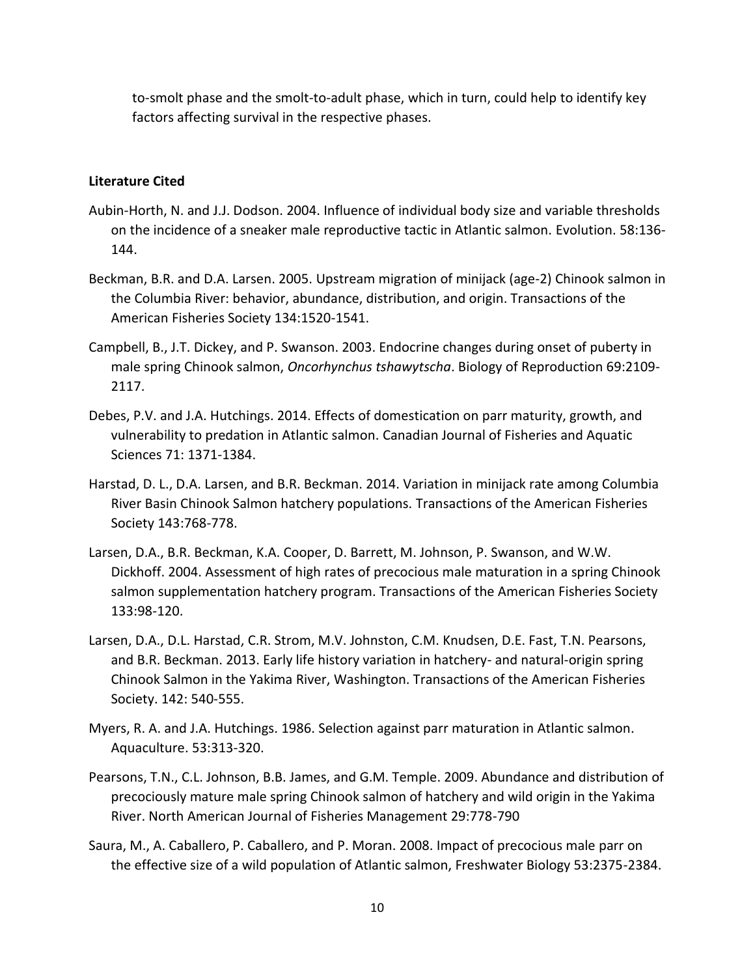to-smolt phase and the smolt-to-adult phase, which in turn, could help to identify key factors affecting survival in the respective phases.

### **Literature Cited**

- Aubin-Horth, N. and J.J. Dodson. 2004. Influence of individual body size and variable thresholds on the incidence of a sneaker male reproductive tactic in Atlantic salmon. Evolution. 58:136- 144.
- Beckman, B.R. and D.A. Larsen. 2005. Upstream migration of minijack (age-2) Chinook salmon in the Columbia River: behavior, abundance, distribution, and origin. Transactions of the American Fisheries Society 134:1520-1541.
- Campbell, B., J.T. Dickey, and P. Swanson. 2003. Endocrine changes during onset of puberty in male spring Chinook salmon, *Oncorhynchus tshawytscha*. Biology of Reproduction 69:2109- 2117.
- Debes, P.V. and J.A. Hutchings. 2014. Effects of domestication on parr maturity, growth, and vulnerability to predation in Atlantic salmon. Canadian Journal of Fisheries and Aquatic Sciences 71: 1371-1384.
- Harstad, D. L., D.A. Larsen, and B.R. Beckman. 2014. Variation in minijack rate among Columbia River Basin Chinook Salmon hatchery populations. Transactions of the American Fisheries Society 143:768-778.
- Larsen, D.A., B.R. Beckman, K.A. Cooper, D. Barrett, M. Johnson, P. Swanson, and W.W. Dickhoff. 2004. Assessment of high rates of precocious male maturation in a spring Chinook salmon supplementation hatchery program. Transactions of the American Fisheries Society 133:98-120.
- Larsen, D.A., D.L. Harstad, C.R. Strom, M.V. Johnston, C.M. Knudsen, D.E. Fast, T.N. Pearsons, and B.R. Beckman. 2013. Early life history variation in hatchery- and natural-origin spring Chinook Salmon in the Yakima River, Washington. Transactions of the American Fisheries Society. 142: 540-555.
- Myers, R. A. and J.A. Hutchings. 1986. Selection against parr maturation in Atlantic salmon. Aquaculture. 53:313-320.
- Pearsons, T.N., C.L. Johnson, B.B. James, and G.M. Temple. 2009. Abundance and distribution of precociously mature male spring Chinook salmon of hatchery and wild origin in the Yakima River. North American Journal of Fisheries Management 29:778-790
- Saura, M., A. Caballero, P. Caballero, and P. Moran. 2008. Impact of precocious male parr on the effective size of a wild population of Atlantic salmon, Freshwater Biology 53:2375-2384.